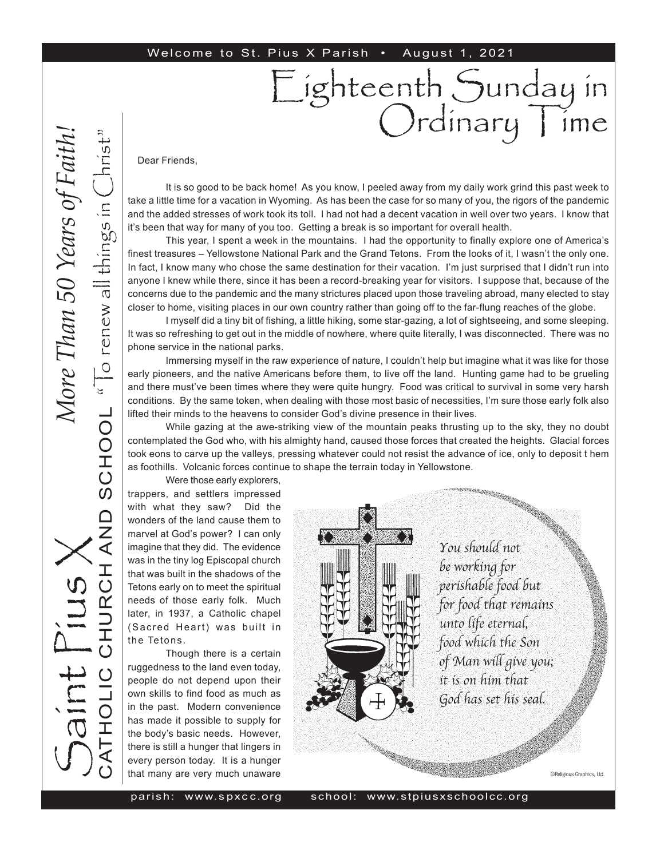#### Welcome to St. Pius X Parish • August 1, 2021

Dear Friends,

It is so good to be back home! As you know, I peeled away from my daily work grind this past week to take a little time for a vacation in Wyoming. As has been the case for so many of you, the rigors of the pandemic and the added stresses of work took its toll. I had not had a decent vacation in well over two years. I know that it's been that way for many of you too. Getting a break is so important for overall health.

Eighteenth Sunday in

Ordinary | ime

This year, I spent a week in the mountains. I had the opportunity to finally explore one of America's finest treasures – Yellowstone National Park and the Grand Tetons. From the looks of it, I wasn't the only one. In fact, I know many who chose the same destination for their vacation. I'm just surprised that I didn't run into anyone I knew while there, since it has been a record-breaking year for visitors. I suppose that, because of the concerns due to the pandemic and the many strictures placed upon those traveling abroad, many elected to stay closer to home, visiting places in our own country rather than going off to the far-flung reaches of the globe.

I myself did a tiny bit of fishing, a little hiking, some star-gazing, a lot of sightseeing, and some sleeping. It was so refreshing to get out in the middle of nowhere, where quite literally, I was disconnected. There was no phone service in the national parks.

Immersing myself in the raw experience of nature, I couldn't help but imagine what it was like for those early pioneers, and the native Americans before them, to live off the land. Hunting game had to be grueling and there must've been times where they were quite hungry. Food was critical to survival in some very harsh conditions. By the same token, when dealing with those most basic of necessities, I'm sure those early folk also lifted their minds to the heavens to consider God's divine presence in their lives.

While gazing at the awe-striking view of the mountain peaks thrusting up to the sky, they no doubt contemplated the God who, with his almighty hand, caused those forces that created the heights. Glacial forces took eons to carve up the valleys, pressing whatever could not resist the advance of ice, only to deposit t hem as foothills. Volcanic forces continue to shape the terrain today in Yellowstone.

Were those early explorers,

trappers, and settlers impressed with what they saw? Did the wonders of the land cause them to marvel at God's power? I can only imagine that they did. The evidence was in the tiny log Episcopal church that was built in the shadows of the Tetons early on to meet the spiritual needs of those early folk. Much later, in 1937, a Catholic chapel (Sacred Heart) was built in the Tetons.

Though there is a certain ruggedness to the land even today, people do not depend upon their own skills to find food as much as in the past. Modern convenience has made it possible to supply for the body's basic needs. However, there is still a hunger that lingers in every person today. It is a hunger that many are very much unaware



You should not be working for perishable food but for food that remains unto life eternal, food which the Son of Man will give you; it is on him that God has set his seal.

©Religious Graphics, Ltd.

parish: www. s px c c.or

S

aint Pius X

CATHOLIC CHURCH AND SCHOOL

**AND** 

" $\overline{C}$  renew all things in  $\overline{C}$ hrist"

SCHOOL "To renew all things in

*More Than 50 Years of Faith!*More Than 50 Years of Faith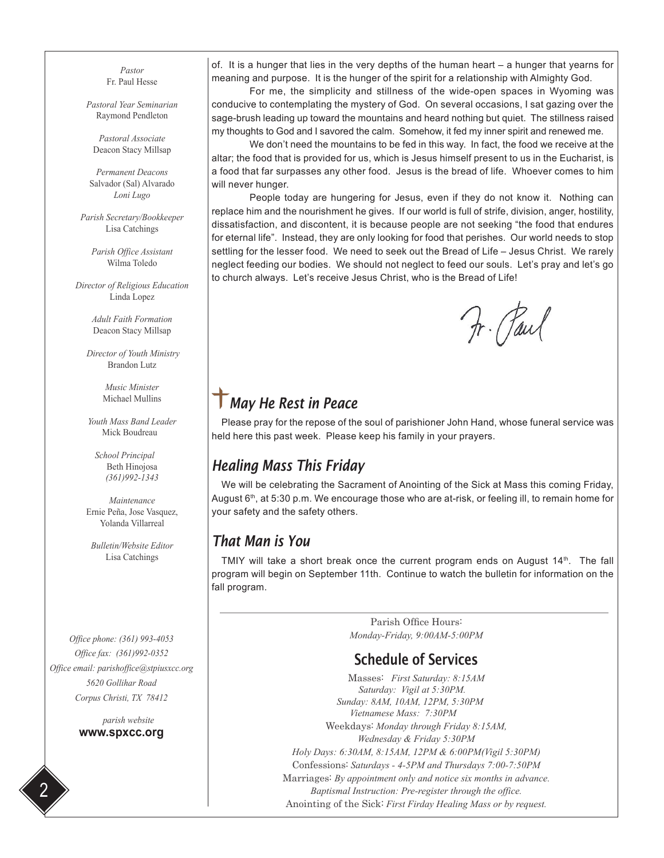*Pastor* Fr. Paul Hesse

*Pastoral Year Seminarian* Raymond Pendleton

*Pastoral Associate* Deacon Stacy Millsap

*Permanent Deacons* Salvador (Sal) Alvarado *Loni Lugo*

*Parish Secretary/Bookkeeper* Lisa Catchings

*Parish Office Assistant* Wilma Toledo

*Director of Religious Education* Linda Lopez

> *Adult Faith Formation* Deacon Stacy Millsap

 *Director of Youth Ministry* Brandon Lutz

> *Music Minister* Michael Mullins

*Youth Mass Band Leader* Mick Boudreau

 *School Principal* Beth Hinojosa *(361)992-1343*

*Maintenance* Ernie Peña, Jose Vasquez, Yolanda Villarreal

*Bulletin/Website Editor* Lisa Catchings

*Office phone: (361) 993-4053 Office fax: (361)992-0352 Office email: parishoffice@stpiusxcc.org 5620 Gollihar Road Corpus Christi, TX 78412*

> *parish website* **www.spxcc.org**

of. It is a hunger that lies in the very depths of the human heart  $-$  a hunger that yearns for meaning and purpose. It is the hunger of the spirit for a relationship with Almighty God.

For me, the simplicity and stillness of the wide-open spaces in Wyoming was conducive to contemplating the mystery of God. On several occasions, I sat gazing over the sage-brush leading up toward the mountains and heard nothing but quiet. The stillness raised my thoughts to God and I savored the calm. Somehow, it fed my inner spirit and renewed me.

We don't need the mountains to be fed in this way. In fact, the food we receive at the altar; the food that is provided for us, which is Jesus himself present to us in the Eucharist, is a food that far surpasses any other food. Jesus is the bread of life. Whoever comes to him will never hunger.

People today are hungering for Jesus, even if they do not know it. Nothing can replace him and the nourishment he gives. If our world is full of strife, division, anger, hostility, dissatisfaction, and discontent, it is because people are not seeking "the food that endures for eternal life". Instead, they are only looking for food that perishes. Our world needs to stop settling for the lesser food. We need to seek out the Bread of Life – Jesus Christ. We rarely neglect feeding our bodies. We should not neglect to feed our souls. Let's pray and let's go to church always. Let's receive Jesus Christ, who is the Bread of Life!

Fr. Paul

# *May He Rest in Peace*

Please pray for the repose of the soul of parishioner John Hand, whose funeral service was held here this past week. Please keep his family in your prayers.

#### *Healing Mass This Friday*

We will be celebrating the Sacrament of Anointing of the Sick at Mass this coming Friday, August  $6<sup>th</sup>$ , at 5:30 p.m. We encourage those who are at-risk, or feeling ill, to remain home for your safety and the safety others.

#### *That Man is You*

TMIY will take a short break once the current program ends on August  $14<sup>th</sup>$ . The fall program will begin on September 11th. Continue to watch the bulletin for information on the fall program.

> Parish Office Hours: *Monday-Friday, 9:00AM-5:00PM*

#### Schedule of Services

Masses: *First Saturday: 8:15AM Saturday: Vigil at 5:30PM. Sunday: 8AM, 10AM, 12PM, 5:30PM Vietnamese Mass: 7:30PM*  Weekdays: *Monday through Friday 8:15AM, Wednesday & Friday 5:30PM Holy Days: 6:30AM, 8:15AM, 12PM & 6:00PM(Vigil 5:30PM)* Confessions: *Saturdays - 4-5PM and Thursdays 7:00-7:50PM* Marriages: *By appointment only and notice six months in advance. Baptismal Instruction: Pre-register through the office.* Anointing of the Sick: *First Firday Healing Mass or by request.*

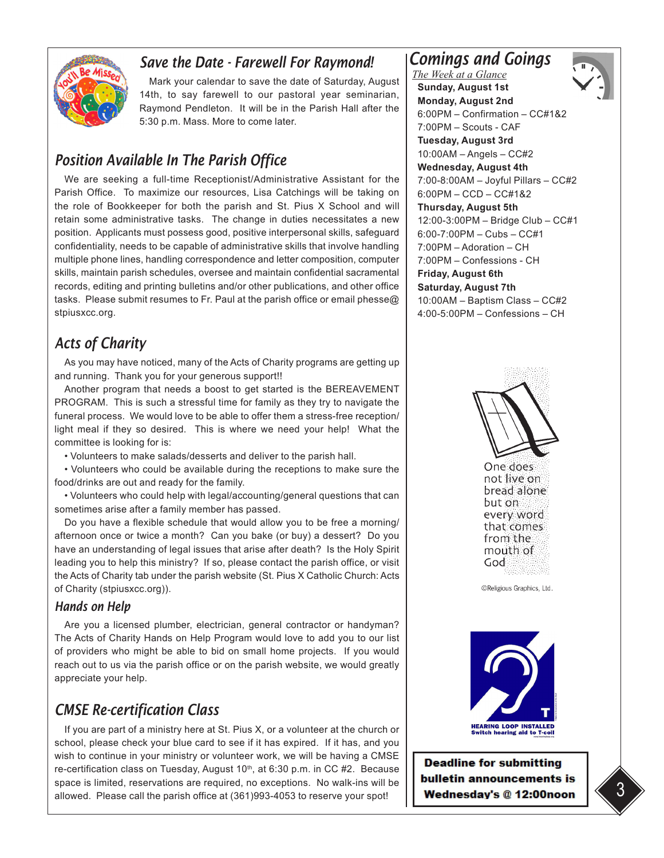

#### *Save the Date - Farewell For Raymond!*

Mark your calendar to save the date of Saturday, August 14th, to say farewell to our pastoral year seminarian, Raymond Pendleton. It will be in the Parish Hall after the 5:30 p.m. Mass. More to come later.

### *Position Available In The Parish Office*

We are seeking a full-time Receptionist/Administrative Assistant for the Parish Office. To maximize our resources, Lisa Catchings will be taking on the role of Bookkeeper for both the parish and St. Pius X School and will retain some administrative tasks. The change in duties necessitates a new position. Applicants must possess good, positive interpersonal skills, safeguard confidentiality, needs to be capable of administrative skills that involve handling multiple phone lines, handling correspondence and letter composition, computer skills, maintain parish schedules, oversee and maintain confidential sacramental records, editing and printing bulletins and/or other publications, and other office tasks. Please submit resumes to Fr. Paul at the parish office or email phesse@ stpiusxcc.org.

## *Acts of Charity*

As you may have noticed, many of the Acts of Charity programs are getting up and running. Thank you for your generous support!!

Another program that needs a boost to get started is the BEREAVEMENT PROGRAM. This is such a stressful time for family as they try to navigate the funeral process. We would love to be able to offer them a stress-free reception/ light meal if they so desired. This is where we need your help! What the committee is looking for is:

• Volunteers to make salads/desserts and deliver to the parish hall.

• Volunteers who could be available during the receptions to make sure the food/drinks are out and ready for the family.

• Volunteers who could help with legal/accounting/general questions that can sometimes arise after a family member has passed.

Do you have a flexible schedule that would allow you to be free a morning/ afternoon once or twice a month? Can you bake (or buy) a dessert? Do you have an understanding of legal issues that arise after death? Is the Holy Spirit leading you to help this ministry? If so, please contact the parish office, or visit the Acts of Charity tab under the parish website (St. Pius X Catholic Church: Acts of Charity (stpiusxcc.org)).

#### *Hands on Help*

Are you a licensed plumber, electrician, general contractor or handyman? The Acts of Charity Hands on Help Program would love to add you to our list of providers who might be able to bid on small home projects. If you would reach out to us via the parish office or on the parish website, we would greatly appreciate your help.

### *CMSE Re-certification Class*

If you are part of a ministry here at St. Pius X, or a volunteer at the church or school, please check your blue card to see if it has expired. If it has, and you wish to continue in your ministry or volunteer work, we will be having a CMSE re-certification class on Tuesday, August 10<sup>th</sup>, at 6:30 p.m. in CC #2. Because space is limited, reservations are required, no exceptions. No walk-ins will be allowed. Please call the parish office at (361)993-4053 to reserve your spot!

## *Comings and Goings*



*The Week at a Glance* **Sunday, August 1st Monday, August 2nd**  6:00PM – Confirmation – CC#1&2 7:00PM – Scouts - CAF **Tuesday, August 3rd**  10:00AM – Angels – CC#2 **Wednesday, August 4th** 7:00-8:00AM – Joyful Pillars – CC#2 6:00PM – CCD – CC#1&2 **Thursday, August 5th**  12:00-3:00PM – Bridge Club – CC#1 6:00-7:00PM – Cubs – CC#1 7:00PM – Adoration – CH 7:00PM – Confessions - CH **Friday, August 6th Saturday, August 7th**  10:00AM – Baptism Class – CC#2 4:00-5:00PM – Confessions – CH



**HEARING LOOP INSTALLED**<br>Switch hearing aid to T-coil

**Deadline for submitting** bulletin announcements is Wednesday's @ 12:00noon

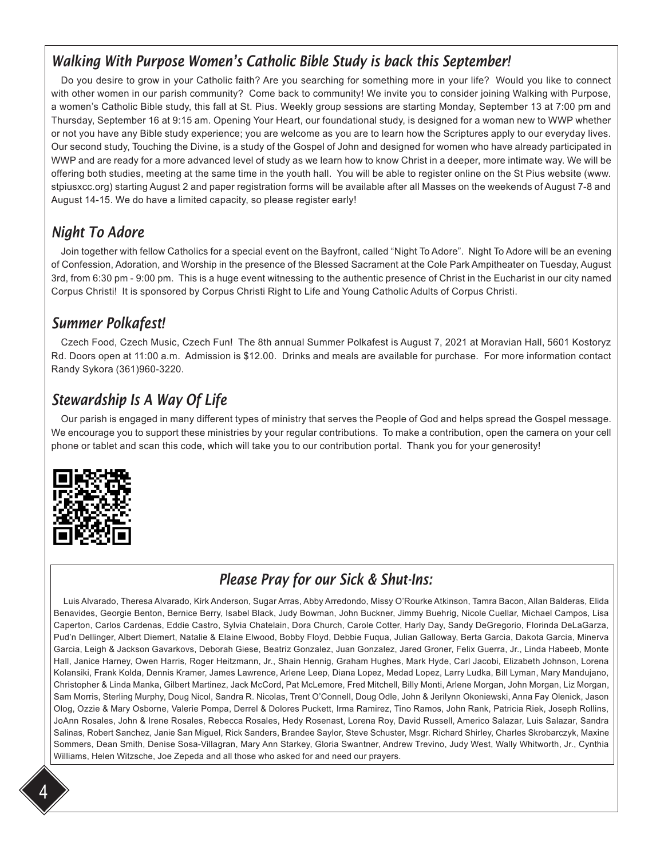### *Walking With Purpose Women's Catholic Bible Study is back this September!*

Do you desire to grow in your Catholic faith? Are you searching for something more in your life? Would you like to connect with other women in our parish community? Come back to community! We invite you to consider joining Walking with Purpose, a women's Catholic Bible study, this fall at St. Pius. Weekly group sessions are starting Monday, September 13 at 7:00 pm and Thursday, September 16 at 9:15 am. Opening Your Heart, our foundational study, is designed for a woman new to WWP whether or not you have any Bible study experience; you are welcome as you are to learn how the Scriptures apply to our everyday lives. Our second study, Touching the Divine, is a study of the Gospel of John and designed for women who have already participated in WWP and are ready for a more advanced level of study as we learn how to know Christ in a deeper, more intimate way. We will be offering both studies, meeting at the same time in the youth hall. You will be able to register online on the St Pius website (www. stpiusxcc.org) starting August 2 and paper registration forms will be available after all Masses on the weekends of August 7-8 and August 14-15. We do have a limited capacity, so please register early!

## *Night To Adore*

Join together with fellow Catholics for a special event on the Bayfront, called "Night To Adore". Night To Adore will be an evening of Confession, Adoration, and Worship in the presence of the Blessed Sacrament at the Cole Park Ampitheater on Tuesday, August 3rd, from 6:30 pm - 9:00 pm. This is a huge event witnessing to the authentic presence of Christ in the Eucharist in our city named Corpus Christi! It is sponsored by Corpus Christi Right to Life and Young Catholic Adults of Corpus Christi.

#### *Summer Polkafest!*

Czech Food, Czech Music, Czech Fun! The 8th annual Summer Polkafest is August 7, 2021 at Moravian Hall, 5601 Kostoryz Rd. Doors open at 11:00 a.m. Admission is \$12.00. Drinks and meals are available for purchase. For more information contact Randy Sykora (361)960-3220.

### *Stewardship Is A Way Of Life*

Our parish is engaged in many different types of ministry that serves the People of God and helps spread the Gospel message. We encourage you to support these ministries by your regular contributions. To make a contribution, open the camera on your cell phone or tablet and scan this code, which will take you to our contribution portal. Thank you for your generosity!



# *Please Pray for our Sick & Shut-Ins:*

Luis Alvarado, Theresa Alvarado, Kirk Anderson, Sugar Arras, Abby Arredondo, Missy O'Rourke Atkinson, Tamra Bacon, Allan Balderas, Elida Benavides, Georgie Benton, Bernice Berry, Isabel Black, Judy Bowman, John Buckner, Jimmy Buehrig, Nicole Cuellar, Michael Campos, Lisa Caperton, Carlos Cardenas, Eddie Castro, Sylvia Chatelain, Dora Church, Carole Cotter, Harly Day, Sandy DeGregorio, Florinda DeLaGarza, Pud'n Dellinger, Albert Diemert, Natalie & Elaine Elwood, Bobby Floyd, Debbie Fuqua, Julian Galloway, Berta Garcia, Dakota Garcia, Minerva Garcia, Leigh & Jackson Gavarkovs, Deborah Giese, Beatriz Gonzalez, Juan Gonzalez, Jared Groner, Felix Guerra, Jr., Linda Habeeb, Monte Hall, Janice Harney, Owen Harris, Roger Heitzmann, Jr., Shain Hennig, Graham Hughes, Mark Hyde, Carl Jacobi, Elizabeth Johnson, Lorena Kolansiki, Frank Kolda, Dennis Kramer, James Lawrence, Arlene Leep, Diana Lopez, Medad Lopez, Larry Ludka, Bill Lyman, Mary Mandujano, Christopher & Linda Manka, Gilbert Martinez, Jack McCord, Pat McLemore, Fred Mitchell, Billy Monti, Arlene Morgan, John Morgan, Liz Morgan, Sam Morris, Sterling Murphy, Doug Nicol, Sandra R. Nicolas, Trent O'Connell, Doug Odle, John & Jerilynn Okoniewski, Anna Fay Olenick, Jason Olog, Ozzie & Mary Osborne, Valerie Pompa, Derrel & Dolores Puckett, Irma Ramirez, Tino Ramos, John Rank, Patricia Riek, Joseph Rollins, JoAnn Rosales, John & Irene Rosales, Rebecca Rosales, Hedy Rosenast, Lorena Roy, David Russell, Americo Salazar, Luis Salazar, Sandra Salinas, Robert Sanchez, Janie San Miguel, Rick Sanders, Brandee Saylor, Steve Schuster, Msgr. Richard Shirley, Charles Skrobarczyk, Maxine Sommers, Dean Smith, Denise Sosa-Villagran, Mary Ann Starkey, Gloria Swantner, Andrew Trevino, Judy West, Wally Whitworth, Jr., Cynthia Williams, Helen Witzsche, Joe Zepeda and all those who asked for and need our prayers.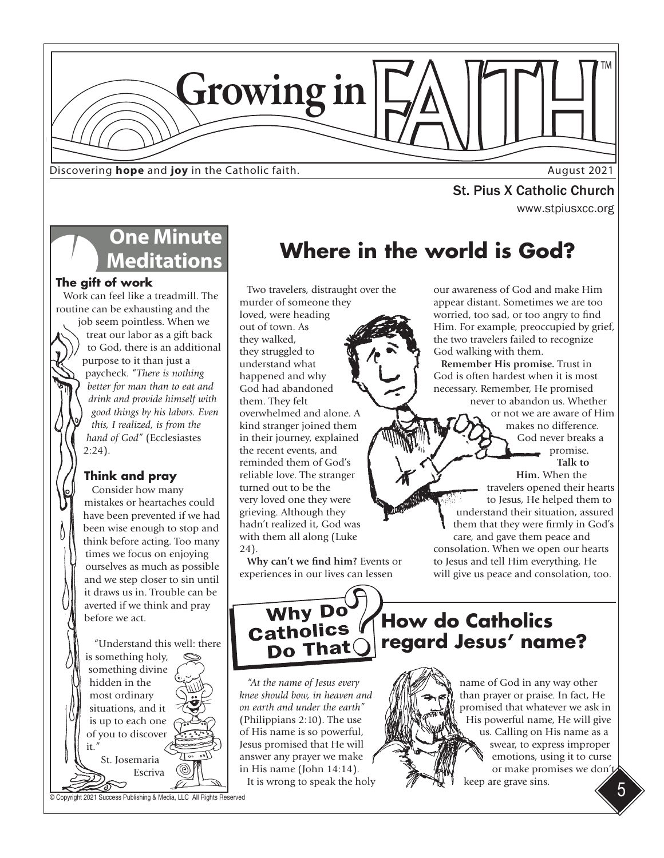

Discovering **hope** and **joy** in the Catholic faith.

www.stpiusxcc.org St. Pius X Catholic Church

# **One Minute Meditations**

#### **The gift of work**

Work can feel like a treadmill. The routine can be exhausting and the

job seem pointless. When we treat our labor as a gift back to God, there is an additional purpose to it than just a paycheck. "*There is nothing better for man than to eat and drink and provide himself with good things by his labors. Even this, I realized, is from the hand of God"* (Ecclesiastes 2:24).

#### **Think and pray**

Consider how many mistakes or heartaches could have been prevented if we had been wise enough to stop and think before acting. Too many times we focus on enjoying ourselves as much as possible and we step closer to sin until it draws us in. Trouble can be averted if we think and pray before we act.

"Understand this well: there is something holy, something divine hidden in the most ordinary situations, and it is up to each one of you to discover it." St. Josemaria  $^{\circledR}$ Escriva

© Copyright 2021 Success Publishing & Media, LLC All Rights Reserved

**Where in the world is God?**

Two travelers, distraught over the murder of someone they loved, were heading out of town. As they walked, they struggled to understand what happened and why God had abandoned them. They felt overwhelmed and alone. A kind stranger joined them in their journey, explained the recent events, and reminded them of God's reliable love. The stranger turned out to be the very loved one they were grieving. Although they hadn't realized it, God was with them all along (Luke 24).

**Why can't we find him?** Events or experiences in our lives can lessen

our awareness of God and make Him appear distant. Sometimes we are too worried, too sad, or too angry to find Him. For example, preoccupied by grief, the two travelers failed to recognize God walking with them.

**Remember His promise.** Trust in God is often hardest when it is most necessary. Remember, He promised never to abandon us. Whether

or not we are aware of Him

makes no difference. God never breaks a promise. **Talk to** 

**Him.** When the travelers opened their hearts to Jesus, He helped them to understand their situation, assured them that they were firmly in God's care, and gave them peace and consolation. When we open our hearts to Jesus and tell Him everything, He will give us peace and consolation, too.

Why Do Do That

*"At the name of Jesus every knee should bow, in heaven and on earth and under the earth"* (Philippians 2:10). The use of His name is so powerful, Jesus promised that He will answer any prayer we make in His name (John 14:14). It is wrong to speak the holy

# **How do Catholics regard Jesus' name?**



5